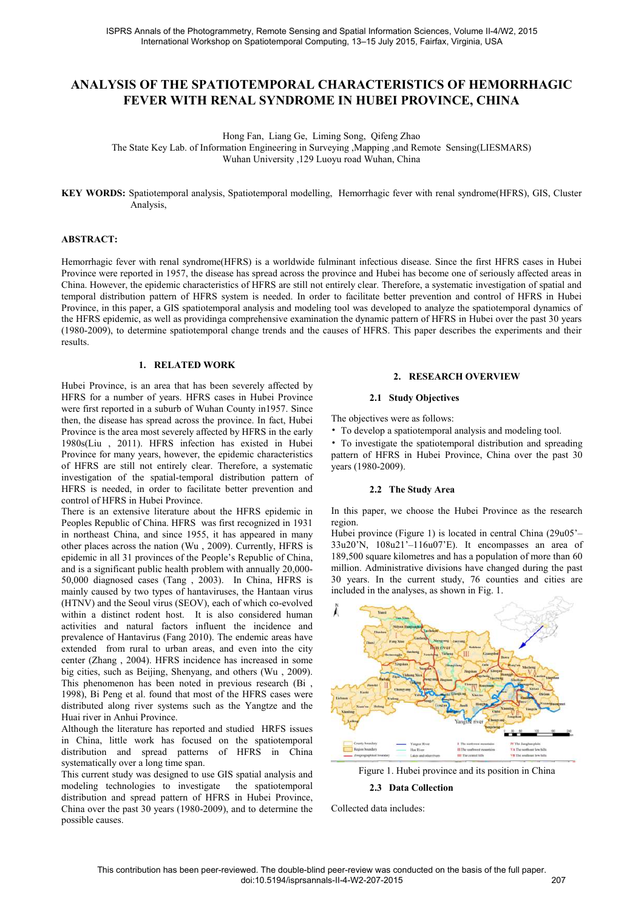# **ANALYSIS OF THE SPATIOTEMPORAL CHARACTERISTICS OF HEMORRHAGIC FEVER WITH RENAL SYNDROME IN HUBEI PROVINCE, CHINA**

Hong Fan, Liang Ge, Liming Song, Qifeng Zhao

The State Key Lab. of Information Engineering in Surveying ,Mapping ,and Remote Sensing(LIESMARS) Wuhan University ,129 Luoyu road Wuhan, China

**KEY WORDS:** Spatiotemporal analysis, Spatiotemporal modelling, Hemorrhagic fever with renal syndrome(HFRS), GIS, Cluster Analysis,

## **ABSTRACT:**

Hemorrhagic fever with renal syndrome(HFRS) is a worldwide fulminant infectious disease. Since the first HFRS cases in Hubei Province were reported in 1957, the disease has spread across the province and Hubei has become one of seriously affected areas in China. However, the epidemic characteristics of HFRS are still not entirely clear. Therefore, a systematic investigation of spatial and temporal distribution pattern of HFRS system is needed. In order to facilitate better prevention and control of HFRS in Hubei Province, in this paper, a GIS spatiotemporal analysis and modeling tool was developed to analyze the spatiotemporal dynamics of the HFRS epidemic, as well as providinga comprehensive examination the dynamic pattern of HFRS in Hubei over the past 30 years (1980-2009), to determine spatiotemporal change trends and the causes of HFRS. This paper describes the experiments and their results.

# **1. RELATED WORK**

Hubei Province, is an area that has been severely affected by HFRS for a number of years. HFRS cases in Hubei Province were first reported in a suburb of Wuhan County in1957. Since then, the disease has spread across the province. In fact, Hubei Province is the area most severely affected by HFRS in the early 1980s(Liu , 2011). HFRS infection has existed in Hubei Province for many years, however, the epidemic characteristics of HFRS are still not entirely clear. Therefore, a systematic investigation of the spatial-temporal distribution pattern of HFRS is needed, in order to facilitate better prevention and control of HFRS in Hubei Province.

There is an extensive literature about the HFRS epidemic in Peoples Republic of China. HFRS was first recognized in 1931 in northeast China, and since 1955, it has appeared in many other places across the nation (Wu , 2009). Currently, HFRS is epidemic in all 31 provinces of the People's Republic of China, and is a significant public health problem with annually 20,000- 50,000 diagnosed cases (Tang , 2003). In China, HFRS is mainly caused by two types of hantaviruses, the Hantaan virus (HTNV) and the Seoul virus (SEOV), each of which co-evolved within a distinct rodent host. It is also considered human activities and natural factors influent the incidence and prevalence of Hantavirus (Fang 2010). The endemic areas have extended from rural to urban areas, and even into the city center (Zhang , 2004). HFRS incidence has increased in some big cities, such as Beijing, Shenyang, and others (Wu , 2009). This phenomenon has been noted in previous research (Bi , 1998), Bi Peng et al. found that most of the HFRS cases were distributed along river systems such as the Yangtze and the Huai river in Anhui Province.

Although the literature has reported and studied HRFS issues in China, little work has focused on the spatiotemporal distribution and spread patterns of HFRS in China systematically over a long time span.

This current study was designed to use GIS spatial analysis and modeling technologies to investigate the spatiotemporal distribution and spread pattern of HFRS in Hubei Province, China over the past 30 years (1980-2009), and to determine the possible causes.

#### **2. RESEARCH OVERVIEW**

#### **2.1 Study Objectives**

The objectives were as follows:

• To develop a spatiotemporal analysis and modeling tool.

• To investigate the spatiotemporal distribution and spreading pattern of HFRS in Hubei Province, China over the past 30 years (1980-2009).

# **2.2 The Study Area**

In this paper, we choose the Hubei Province as the research region.

Hubei province (Figure 1) is located in central China (29u05'– 33u20'N, 108u21'–116u07'E). It encompasses an area of 189,500 square kilometres and has a population of more than 60 million. Administrative divisions have changed during the past 30 years. In the current study, 76 counties and cities are included in the analyses, as shown in Fig. 1.



Figure 1. Hubei province and its position in China

## **2.3 Data Collection**

Collected data includes: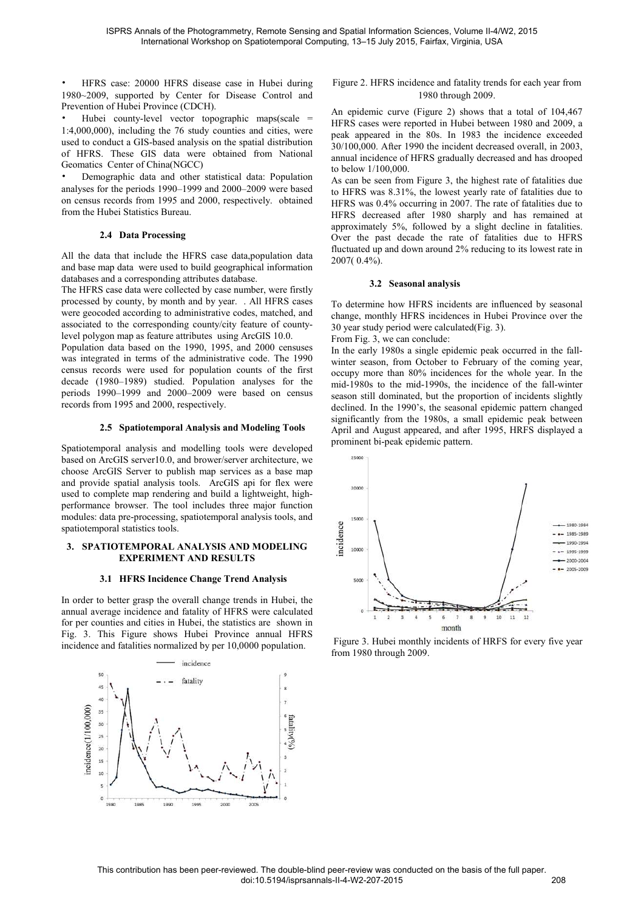• HFRS case: 20000 HFRS disease case in Hubei during 1980~2009, supported by Center for Disease Control and Prevention of Hubei Province (CDCH).

Hubei county-level vector topographic maps(scale  $=$ 1:4,000,000), including the 76 study counties and cities, were used to conduct a GIS-based analysis on the spatial distribution of HFRS. These GIS data were obtained from National Geomatics Center of China(NGCC)

• Demographic data and other statistical data: Population analyses for the periods 1990–1999 and 2000–2009 were based on census records from 1995 and 2000, respectively. obtained from the Hubei Statistics Bureau.

## **2.4 Data Processing**

All the data that include the HFRS case data,population data and base map data were used to build geographical information databases and a corresponding attributes database.

The HFRS case data were collected by case number, were firstly processed by county, by month and by year. . All HFRS cases were geocoded according to administrative codes, matched, and associated to the corresponding county/city feature of countylevel polygon map as feature attributes using ArcGIS 10.0.

Population data based on the 1990, 1995, and 2000 censuses was integrated in terms of the administrative code. The 1990 census records were used for population counts of the first decade (1980–1989) studied. Population analyses for the periods 1990–1999 and 2000–2009 were based on census records from 1995 and 2000, respectively.

#### **2.5 Spatiotemporal Analysis and Modeling Tools**

Spatiotemporal analysis and modelling tools were developed based on ArcGIS server10.0, and brower/server architecture, we choose ArcGIS Server to publish map services as a base map and provide spatial analysis tools. ArcGIS api for flex were used to complete map rendering and build a lightweight, highperformance browser. The tool includes three major function modules: data pre-processing, spatiotemporal analysis tools, and spatiotemporal statistics tools.

#### **3. SPATIOTEMPORAL ANALYSIS AND MODELING EXPERIMENT AND RESULTS**

#### **3.1 HFRS Incidence Change Trend Analysis**

In order to better grasp the overall change trends in Hubei, the annual average incidence and fatality of HFRS were calculated for per counties and cities in Hubei, the statistics are shown in Fig. 3. This Figure shows Hubei Province annual HFRS incidence and fatalities normalized by per 10,0000 population.



Figure 2. HFRS incidence and fatality trends for each year from 1980 through 2009.

An epidemic curve (Figure 2) shows that a total of 104,467 HFRS cases were reported in Hubei between 1980 and 2009, a peak appeared in the 80s. In 1983 the incidence exceeded 30/100,000. After 1990 the incident decreased overall, in 2003, annual incidence of HFRS gradually decreased and has drooped to below 1/100,000.

As can be seen from Figure 3, the highest rate of fatalities due to HFRS was 8.31%, the lowest yearly rate of fatalities due to HFRS was 0.4% occurring in 2007. The rate of fatalities due to HFRS decreased after 1980 sharply and has remained at approximately 5%, followed by a slight decline in fatalities. Over the past decade the rate of fatalities due to HFRS fluctuated up and down around 2% reducing to its lowest rate in 2007( 0.4%).

#### **3.2 Seasonal analysis**

To determine how HFRS incidents are influenced by seasonal change, monthly HFRS incidences in Hubei Province over the 30 year study period were calculated(Fig. 3).

From Fig. 3, we can conclude:

In the early 1980s a single epidemic peak occurred in the fallwinter season, from October to February of the coming year, occupy more than 80% incidences for the whole year. In the mid-1980s to the mid-1990s, the incidence of the fall-winter season still dominated, but the proportion of incidents slightly declined. In the 1990's, the seasonal epidemic pattern changed significantly from the 1980s, a small epidemic peak between April and August appeared, and after 1995, HRFS displayed a prominent bi-peak epidemic pattern.



 Figure 3. Hubei monthly incidents of HRFS for every five year from 1980 through 2009.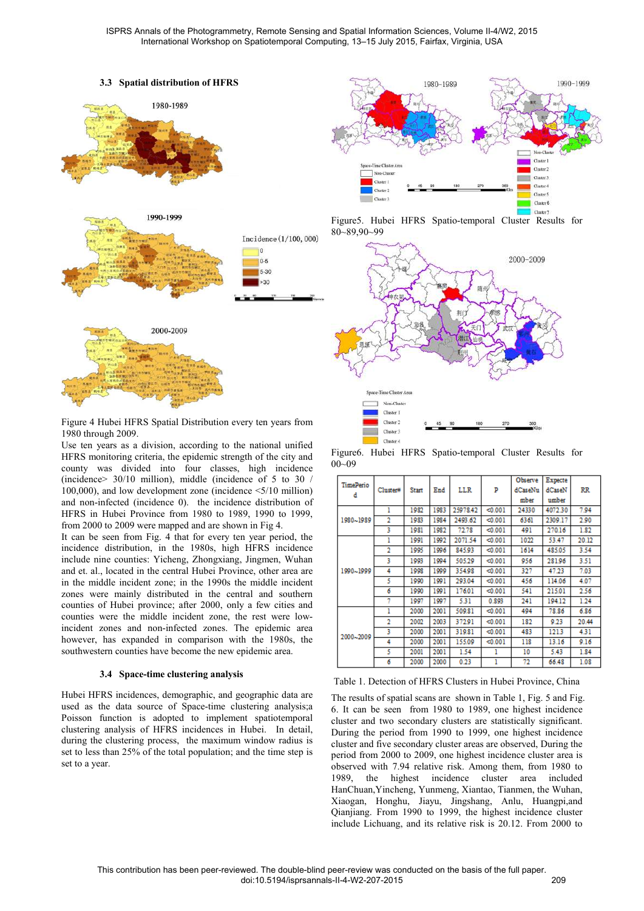



Figure 4 Hubei HFRS Spatial Distribution every ten years from 1980 through 2009.

Use ten years as a division, according to the national unified HFRS monitoring criteria, the epidemic strength of the city and county was divided into four classes, high incidence (incidence> 30/10 million), middle (incidence of 5 to 30 / 100,000), and low development zone (incidence <5/10 million) and non-infected (incidence 0). the incidence distribution of HFRS in Hubei Province from 1980 to 1989, 1990 to 1999, from 2000 to 2009 were mapped and are shown in Fig 4.

It can be seen from Fig. 4 that for every ten year period, the incidence distribution, in the 1980s, high HFRS incidence include nine counties: Yicheng, Zhongxiang, Jingmen, Wuhan and et. al., located in the central Hubei Province, other area are in the middle incident zone; in the 1990s the middle incident zones were mainly distributed in the central and southern counties of Hubei province; after 2000, only a few cities and counties were the middle incident zone, the rest were lowincident zones and non-infected zones. The epidemic area however, has expanded in comparison with the 1980s, the southwestern counties have become the new epidemic area.

#### **3.4 Space-time clustering analysis**

Hubei HFRS incidences, demographic, and geographic data are used as the data source of Space-time clustering analysis;a Poisson function is adopted to implement spatiotemporal clustering analysis of HFRS incidences in Hubei. In detail, during the clustering process, the maximum window radius is set to less than 25% of the total population; and the time step is set to a year.



Figure5. Hubei HFRS Spatio-temporal Cluster Results for 80~89,90~99



Figure6. Hubei HFRS Spatio-temporal Cluster Results for 00~09

|                |          |              |      |            |          | Observe | Expecte |         |
|----------------|----------|--------------|------|------------|----------|---------|---------|---------|
| TimePerio<br>d | Cluster# | <b>Start</b> | End  | <b>LLR</b> | p        | dCaseNu | dCaseN  | $_{RR}$ |
|                |          |              |      |            |          | mber    | umber   |         |
| 1980~1989      | 1        | 1982         | 1983 | 25978.42   | < 0.001  | 24330   | 4072.30 | 7.94    |
|                | 2        | 1983         | 1984 | 2493.62    | $0.001$  | 6361    | 2309.17 | 2.90    |
|                | 3        | 1981         | 1982 | 72.78      | < 0.001  | 491     | 270.16  | 1.82    |
| 1990~1999      | 1        | 1991         | 1992 | 2071.54    | < 0.001  | 1022    | 53.47   | 20.12   |
|                | 2        | 1995         | 1996 | 845.93     | $0.001$  | 1614    | 485.05  | 3.54    |
|                | 3        | 1993         | 1994 | 505.29     | < 0.001  | 956     | 28196   | 3.51    |
|                | 4        | 1998         | 1999 | 354.98     | $0.001$  | 327     | 47.23   | 7.03    |
|                | 5        | 1990         | 1991 | 293.04     | < 0.001  | 456     | 114.06  | 4.07    |
|                | 6        | 1990         | 1991 | 176.01     | < 0.001  | 541     | 215.01  | 2.56    |
|                | 7        | 1997         | 1997 | 5.31       | 0.893    | 241     | 194.12  | 1.24    |
| 2000~2009      | 1        | 2000         | 2001 | 509.81     | < 0.001  | 494     | 78.86   | 6.86    |
|                | 2        | 2002         | 2003 | 372.91     | $0.001$  | 182     | 9.23    | 20.44   |
|                | 3        | 2000         | 2001 | 319.81     | < 0.001  | 483     | 1213    | 4.31    |
|                | 4        | 2000         | 2001 | 155.09     | $-0.001$ | 118     | 13.16   | 9.16    |
|                | 5        | 2001         | 2001 | 1.54       | 1        | 10      | 5.43    | 1.84    |
|                | 6        | 2000         | 2000 | 0.23       | 1        | 72      | 66.48   | 1.08    |

Table 1. Detection of HFRS Clusters in Hubei Province, China

The results of spatial scans are shown in Table 1, Fig. 5 and Fig. 6. It can be seen from 1980 to 1989, one highest incidence cluster and two secondary clusters are statistically significant. During the period from 1990 to 1999, one highest incidence cluster and five secondary cluster areas are observed, During the period from 2000 to 2009, one highest incidence cluster area is observed with 7.94 relative risk. Among them, from 1980 to 1989, the highest incidence cluster area included HanChuan,Yincheng, Yunmeng, Xiantao, Tianmen, the Wuhan, Xiaogan, Honghu, Jiayu, Jingshang, Anlu, Huangpi,and Qianjiang. From 1990 to 1999, the highest incidence cluster include Lichuang, and its relative risk is 20.12. From 2000 to